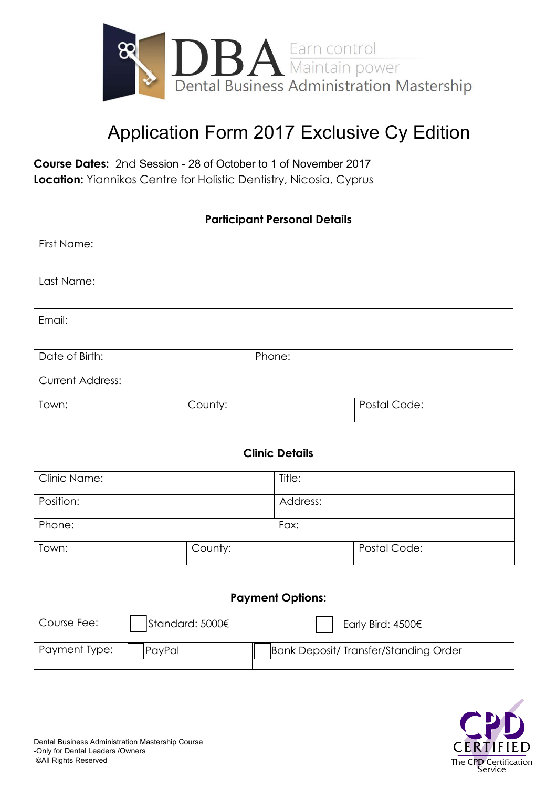

## Application Form 2017 Exclusive Cy Edition

**Course Dates:** 2nd Session - 28 of October to 1 of November 2017 **Location:** Yiannikos Centre for Holistic Dentistry, Nicosia, Cyprus

### **Participant Personal Details**

| First Name:             |         |        |              |
|-------------------------|---------|--------|--------------|
| Last Name:              |         |        |              |
| Email:                  |         |        |              |
| Date of Birth:          |         | Phone: |              |
| <b>Current Address:</b> |         |        |              |
| Town:                   | County: |        | Postal Code: |

#### **Clinic Details**

| Clinic Name: |         | Title:   |              |
|--------------|---------|----------|--------------|
| Position:    |         | Address: |              |
| Phone:       |         | Fax:     |              |
| Town:        | County: |          | Postal Code: |

#### **Payment Options:**

| Course Fee:   | Standard: 5000€ | Early Bird: $4500 \epsilon$           |  |
|---------------|-----------------|---------------------------------------|--|
| Payment Type: | PayPal          | Bank Deposit/ Transfer/Standing Order |  |